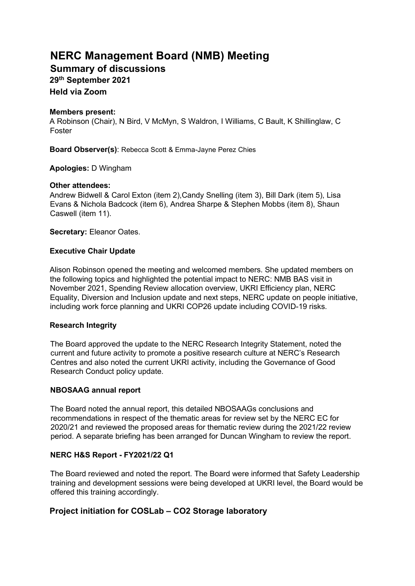# **NERC Management Board (NMB) Meeting**

**Summary of discussions** 

**29th September 2021** 

**Held via Zoom** 

### **Members present:**

A Robinson (Chair), N Bird, V McMyn, S Waldron, I Williams, C Bault, K Shillinglaw, C Foster

**Board Observer(s)**: Rebecca Scott & Emma-Jayne Perez Chies

**Apologies:** D Wingham

# **Other attendees:**

Andrew Bidwell & Carol Exton (item 2),Candy Snelling (item 3), Bill Dark (item 5), Lisa Evans & Nichola Badcock (item 6), Andrea Sharpe & Stephen Mobbs (item 8), Shaun Caswell (item 11).

**Secretary:** Eleanor Oates.

# **Executive Chair Update**

Alison Robinson opened the meeting and welcomed members. She updated members on the following topics and highlighted the potential impact to NERC: NMB BAS visit in November 2021, Spending Review allocation overview, UKRI Efficiency plan, NERC Equality, Diversion and Inclusion update and next steps, NERC update on people initiative, including work force planning and UKRI COP26 update including COVID-19 risks.

### **Research Integrity**

The Board approved the update to the NERC Research Integrity Statement, noted the current and future activity to promote a positive research culture at NERC's Research Centres and also noted the current UKRI activity, including the Governance of Good Research Conduct policy update.

# **NBOSAAG annual report**

The Board noted the annual report, this detailed NBOSAAGs conclusions and recommendations in respect of the thematic areas for review set by the NERC EC for 2020/21 and reviewed the proposed areas for thematic review during the 2021/22 review period. A separate briefing has been arranged for Duncan Wingham to review the report.

# **NERC H&S Report - FY2021/22 Q1**

The Board reviewed and noted the report. The Board were informed that Safety Leadership training and development sessions were being developed at UKRI level, the Board would be offered this training accordingly.

# **Project initiation for COSLab – CO2 Storage laboratory**